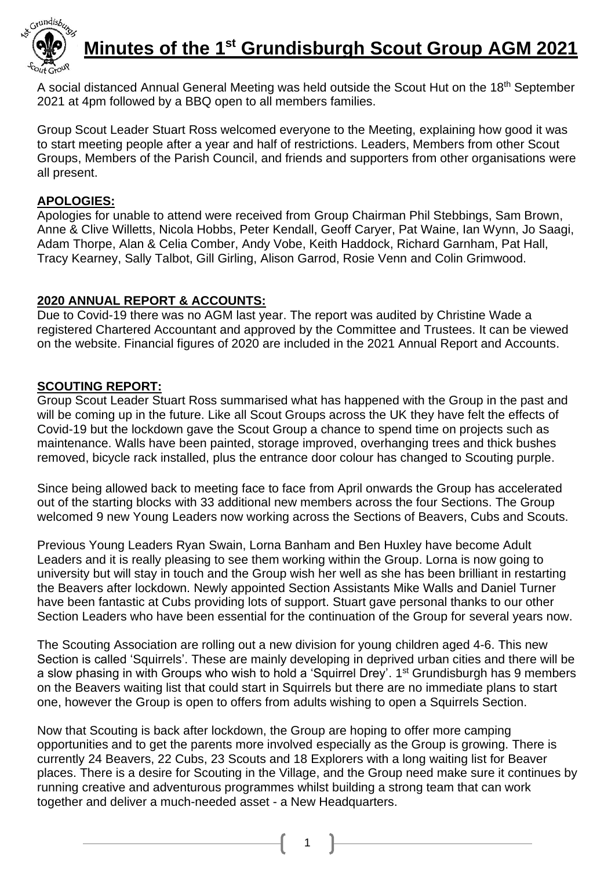

# **Minutes of the 1 st Grundisburgh Scout Group AGM 2021**

A social distanced Annual General Meeting was held outside the Scout Hut on the 18<sup>th</sup> September 2021 at 4pm followed by a BBQ open to all members families.

Group Scout Leader Stuart Ross welcomed everyone to the Meeting, explaining how good it was to start meeting people after a year and half of restrictions. Leaders, Members from other Scout Groups, Members of the Parish Council, and friends and supporters from other organisations were all present.

#### **APOLOGIES:**

Apologies for unable to attend were received from Group Chairman Phil Stebbings, Sam Brown, Anne & Clive Willetts, Nicola Hobbs, Peter Kendall, Geoff Caryer, Pat Waine, Ian Wynn, Jo Saagi, Adam Thorpe, Alan & Celia Comber, Andy Vobe, Keith Haddock, Richard Garnham, Pat Hall, Tracy Kearney, Sally Talbot, Gill Girling, Alison Garrod, Rosie Venn and Colin Grimwood.

#### **2020 ANNUAL REPORT & ACCOUNTS:**

Due to Covid-19 there was no AGM last year. The report was audited by Christine Wade a registered Chartered Accountant and approved by the Committee and Trustees. It can be viewed on the website. Financial figures of 2020 are included in the 2021 Annual Report and Accounts.

#### **SCOUTING REPORT:**

Group Scout Leader Stuart Ross summarised what has happened with the Group in the past and will be coming up in the future. Like all Scout Groups across the UK they have felt the effects of Covid-19 but the lockdown gave the Scout Group a chance to spend time on projects such as maintenance. Walls have been painted, storage improved, overhanging trees and thick bushes removed, bicycle rack installed, plus the entrance door colour has changed to Scouting purple.

Since being allowed back to meeting face to face from April onwards the Group has accelerated out of the starting blocks with 33 additional new members across the four Sections. The Group welcomed 9 new Young Leaders now working across the Sections of Beavers, Cubs and Scouts.

Previous Young Leaders Ryan Swain, Lorna Banham and Ben Huxley have become Adult Leaders and it is really pleasing to see them working within the Group. Lorna is now going to university but will stay in touch and the Group wish her well as she has been brilliant in restarting the Beavers after lockdown. Newly appointed Section Assistants Mike Walls and Daniel Turner have been fantastic at Cubs providing lots of support. Stuart gave personal thanks to our other Section Leaders who have been essential for the continuation of the Group for several years now.

The Scouting Association are rolling out a new division for young children aged 4-6. This new Section is called 'Squirrels'. These are mainly developing in deprived urban cities and there will be a slow phasing in with Groups who wish to hold a 'Squirrel Drey'. 1<sup>st</sup> Grundisburgh has 9 members on the Beavers waiting list that could start in Squirrels but there are no immediate plans to start one, however the Group is open to offers from adults wishing to open a Squirrels Section.

Now that Scouting is back after lockdown, the Group are hoping to offer more camping opportunities and to get the parents more involved especially as the Group is growing. There is currently 24 Beavers, 22 Cubs, 23 Scouts and 18 Explorers with a long waiting list for Beaver places. There is a desire for Scouting in the Village, and the Group need make sure it continues by running creative and adventurous programmes whilst building a strong team that can work together and deliver a much-needed asset - a New Headquarters.

1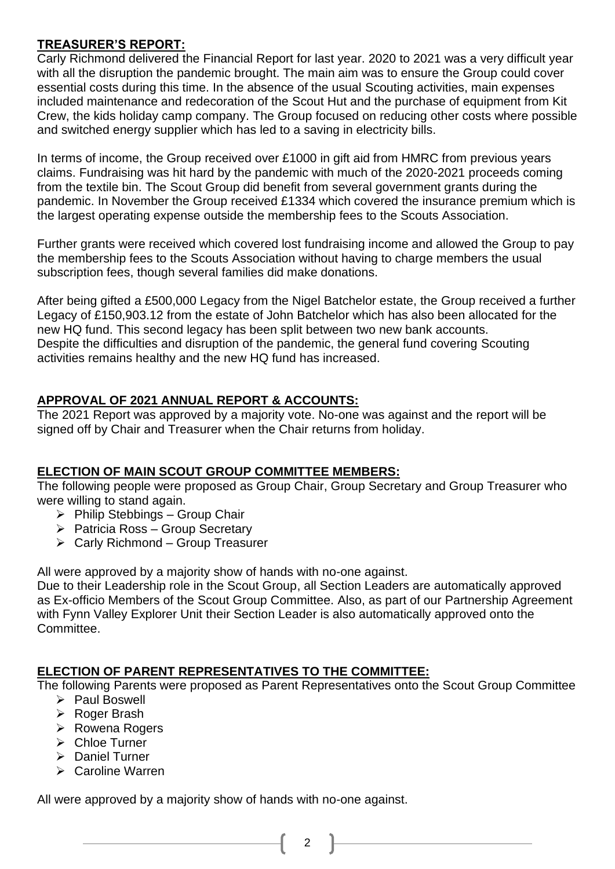#### **TREASURER'S REPORT:**

Carly Richmond delivered the Financial Report for last year. 2020 to 2021 was a very difficult year with all the disruption the pandemic brought. The main aim was to ensure the Group could cover essential costs during this time. In the absence of the usual Scouting activities, main expenses included maintenance and redecoration of the Scout Hut and the purchase of equipment from Kit Crew, the kids holiday camp company. The Group focused on reducing other costs where possible and switched energy supplier which has led to a saving in electricity bills.

In terms of income, the Group received over £1000 in gift aid from HMRC from previous years claims. Fundraising was hit hard by the pandemic with much of the 2020-2021 proceeds coming from the textile bin. The Scout Group did benefit from several government grants during the pandemic. In November the Group received £1334 which covered the insurance premium which is the largest operating expense outside the membership fees to the Scouts Association.

Further grants were received which covered lost fundraising income and allowed the Group to pay the membership fees to the Scouts Association without having to charge members the usual subscription fees, though several families did make donations.

After being gifted a £500,000 Legacy from the Nigel Batchelor estate, the Group received a further Legacy of £150,903.12 from the estate of John Batchelor which has also been allocated for the new HQ fund. This second legacy has been split between two new bank accounts. Despite the difficulties and disruption of the pandemic, the general fund covering Scouting activities remains healthy and the new HQ fund has increased.

# **APPROVAL OF 2021 ANNUAL REPORT & ACCOUNTS:**

The 2021 Report was approved by a majority vote. No-one was against and the report will be signed off by Chair and Treasurer when the Chair returns from holiday.

# **ELECTION OF MAIN SCOUT GROUP COMMITTEE MEMBERS:**

The following people were proposed as Group Chair, Group Secretary and Group Treasurer who were willing to stand again.

- $\triangleright$  Philip Stebbings Group Chair
- ➢ Patricia Ross Group Secretary
- $\triangleright$  Carly Richmond Group Treasurer

All were approved by a majority show of hands with no-one against.

Due to their Leadership role in the Scout Group, all Section Leaders are automatically approved as Ex-officio Members of the Scout Group Committee. Also, as part of our Partnership Agreement with Fynn Valley Explorer Unit their Section Leader is also automatically approved onto the Committee.

# **ELECTION OF PARENT REPRESENTATIVES TO THE COMMITTEE:**

The following Parents were proposed as Parent Representatives onto the Scout Group Committee

2

- ➢ Paul Boswell
- ➢ Roger Brash
- ➢ Rowena Rogers
- ➢ Chloe Turner
- ➢ Daniel Turner
- ➢ Caroline Warren

All were approved by a majority show of hands with no-one against.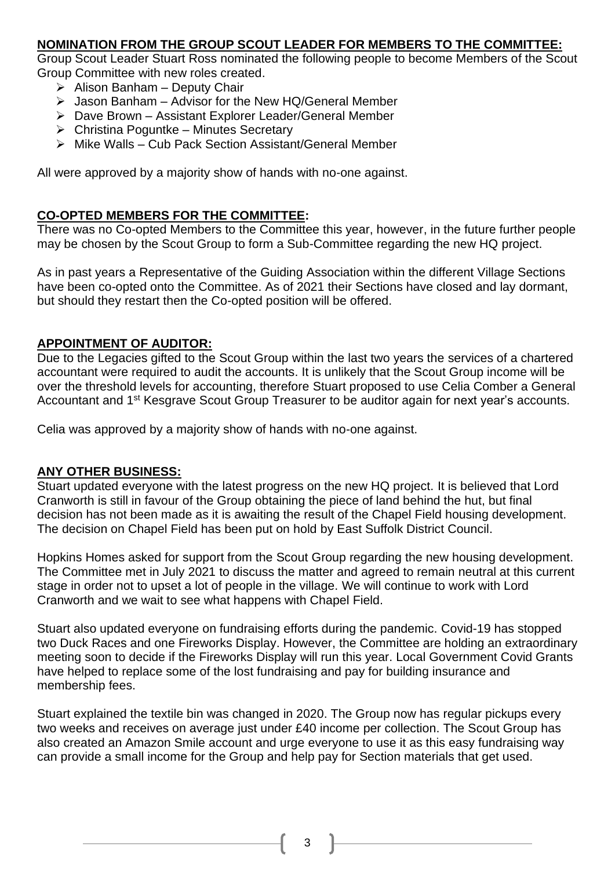#### **NOMINATION FROM THE GROUP SCOUT LEADER FOR MEMBERS TO THE COMMITTEE:**

Group Scout Leader Stuart Ross nominated the following people to become Members of the Scout Group Committee with new roles created.

- ➢ Alison Banham Deputy Chair
- $\triangleright$  Jason Banham Advisor for the New HQ/General Member
- ➢ Dave Brown Assistant Explorer Leader/General Member
- $\triangleright$  Christina Poguntke Minutes Secretary
- ➢ Mike Walls Cub Pack Section Assistant/General Member

All were approved by a majority show of hands with no-one against.

#### **CO-OPTED MEMBERS FOR THE COMMITTEE:**

There was no Co-opted Members to the Committee this year, however, in the future further people may be chosen by the Scout Group to form a Sub-Committee regarding the new HQ project.

As in past years a Representative of the Guiding Association within the different Village Sections have been co-opted onto the Committee. As of 2021 their Sections have closed and lay dormant, but should they restart then the Co-opted position will be offered.

#### **APPOINTMENT OF AUDITOR:**

Due to the Legacies gifted to the Scout Group within the last two years the services of a chartered accountant were required to audit the accounts. It is unlikely that the Scout Group income will be over the threshold levels for accounting, therefore Stuart proposed to use Celia Comber a General Accountant and 1<sup>st</sup> Kesgrave Scout Group Treasurer to be auditor again for next year's accounts.

Celia was approved by a majority show of hands with no-one against.

#### **ANY OTHER BUSINESS:**

Stuart updated everyone with the latest progress on the new HQ project. It is believed that Lord Cranworth is still in favour of the Group obtaining the piece of land behind the hut, but final decision has not been made as it is awaiting the result of the Chapel Field housing development. The decision on Chapel Field has been put on hold by East Suffolk District Council.

Hopkins Homes asked for support from the Scout Group regarding the new housing development. The Committee met in July 2021 to discuss the matter and agreed to remain neutral at this current stage in order not to upset a lot of people in the village. We will continue to work with Lord Cranworth and we wait to see what happens with Chapel Field.

Stuart also updated everyone on fundraising efforts during the pandemic. Covid-19 has stopped two Duck Races and one Fireworks Display. However, the Committee are holding an extraordinary meeting soon to decide if the Fireworks Display will run this year. Local Government Covid Grants have helped to replace some of the lost fundraising and pay for building insurance and membership fees.

Stuart explained the textile bin was changed in 2020. The Group now has regular pickups every two weeks and receives on average just under £40 income per collection. The Scout Group has also created an Amazon Smile account and urge everyone to use it as this easy fundraising way can provide a small income for the Group and help pay for Section materials that get used.

3